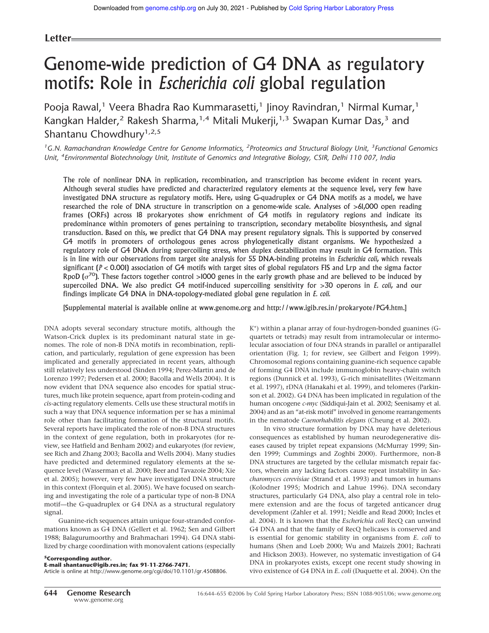# **Letter**

# Genome-wide prediction of G4 DNA as regulatory motifs: Role in *Escherichia coli* global regulation

Pooja Rawal,<sup>1</sup> Veera Bhadra Rao Kummarasetti,<sup>1</sup> Jinoy Ravindran,<sup>1</sup> Nirmal Kumar,<sup>1</sup> Kangkan Halder,<sup>2</sup> Rakesh Sharma,<sup>1,4</sup> Mitali Mukerji,<sup>1,3</sup> Swapan Kumar Das,<sup>3</sup> and Shantanu Chowdhury<sup>1,2,5</sup>

*<sup>1</sup>G.N. Ramachandran Knowledge Centre for Genome Informatics, <sup>2</sup> Proteomics and Structural Biology Unit, <sup>3</sup> Functional Genomics Unit, <sup>4</sup> Environmental Biotechnology Unit, Institute of Genomics and Integrative Biology, CSIR, Delhi 110 007, India*

The role of nonlinear DNA in replication, recombination, and transcription has become evident in recent years. Although several studies have predicted and characterized regulatory elements at the sequence level, very few have investigated DNA structure as regulatory motifs. Here, using G-quadruplex or G4 DNA motifs as a model, we have researched the role of DNA structure in transcription on a genome-wide scale. Analyses of >61,000 open reading frames (ORFs) across 18 prokaryotes show enrichment of G4 motifs in regulatory regions and indicate its predominance within promoters of genes pertaining to transcription, secondary metabolite biosynthesis, and signal transduction. Based on this, we predict that G4 DNA may present regulatory signals. This is supported by conserved G4 motifs in promoters of orthologous genes across phylogenetically distant organisms. We hypothesized a regulatory role of G4 DNA during supercoiling stress, when duplex destabilization may result in G4 formation. This is in line with our observations from target site analysis for 55 DNA-binding proteins in *Escherichia coli*, which reveals significant (*P* < 0.001) association of G4 motifs with target sites of global regulators FIS and Lrp and the sigma factor RpoD ( $\sigma^{70}$ ). These factors together control >1000 genes in the early growth phase and are believed to be induced by supercoiled DNA. We also predict G4 motif-induced supercoiling sensitivity for >30 operons in *E. coli*, and our findings implicate G4 DNA in DNA-topology-mediated global gene regulation in *E. coli.*

[Supplemental material is available online at www.genome.org and http://www.igib.res.in/prokaryote/PG4.htm.]

DNA adopts several secondary structure motifs, although the Watson-Crick duplex is its predominant natural state in genomes. The role of non-B DNA motifs in recombination, replication, and particularly, regulation of gene expression has been implicated and generally appreciated in recent years, although still relatively less understood (Sinden 1994; Perez-Martin and de Lorenzo 1997; Pedersen et al. 2000; Bacolla and Wells 2004). It is now evident that DNA sequence also encodes for spatial structures, much like protein sequence, apart from protein-coding and *cis*-acting regulatory elements. Cells use these structural motifs in such a way that DNA sequence information per se has a minimal role other than facilitating formation of the structural motifs. Several reports have implicated the role of non-B DNA structures in the context of gene regulation, both in prokaryotes (for review, see Hatfield and Benham 2002) and eukaryotes (for review, see Rich and Zhang 2003; Bacolla and Wells 2004). Many studies have predicted and determined regulatory elements at the sequence level (Wasserman et al. 2000; Beer and Tavazoie 2004; Xie et al. 2005); however, very few have investigated DNA structure in this context (Florquin et al. 2005). We have focused on searching and investigating the role of a particular type of non-B DNA motif—the G-quadruplex or G4 DNA as a structural regulatory signal.

Guanine-rich sequences attain unique four-stranded conformations known as G4 DNA (Gellert et al. 1962; Sen and Gilbert 1988; Balagurumoorthy and Brahmachari 1994). G4 DNA stabilized by charge coordination with monovalent cations (especially

# **<sup>5</sup>Corresponding author.**

**E-mail shantanuc@igib.res.in; fax 91-11-2766-7471.** Article is online at http://www.genome.org/cgi/doi/10.1101/gr.4508806.

K + ) within a planar array of four-hydrogen-bonded guanines (Gquartets or tetrads) may result from intramolecular or intermolecular association of four DNA strands in parallel or antiparallel orientation (Fig. 1; for review, see Gilbert and Feigon 1999). Chromosomal regions containing guanine-rich sequence capable of forming G4 DNA include immunoglobin heavy-chain switch regions (Dunnick et al. 1993), G-rich minisatellites (Weitzmann et al. 1997), rDNA (Hanakahi et al. 1999), and telomeres (Parkinson et al. 2002). G4 DNA has been implicated in regulation of the human oncogene *c-myc* (Siddiqui-Jain et al. 2002; Seenisamy et al. 2004) and as an "at-risk motif" involved in genome rearrangements in the nematode *Caenorhabditis elegans* (Cheung et al. 2002).

In vivo structure formation by DNA may have deleterious consequences as established by human neurodegenerative diseases caused by triplet repeat expansions (McMurray 1999; Sinden 1999; Cummings and Zoghbi 2000). Furthermore, non-B DNA structures are targeted by the cellular mismatch repair factors, wherein any lacking factors cause repeat instability in *Saccharomyces cerevisiae* (Strand et al. 1993) and tumors in humans (Kolodner 1995; Modrich and Lahue 1996). DNA secondary structures, particularly G4 DNA, also play a central role in telomere extension and are the focus of targeted anticancer drug development (Zahler et al. 1991; Neidle and Read 2000; Incles et al. 2004). It is known that the *Escherichia coli* RecQ can unwind G4 DNA and that the family of RecQ helicases is conserved and is essential for genomic stability in organisms from *E. coli* to humans (Shen and Loeb 2000; Wu and Maizels 2001; Bachrati and Hickson 2003). However, no systematic investigation of G4 DNA in prokaryotes exists, except one recent study showing in vivo existence of G4 DNA in *E. coli* (Duquette et al. 2004). On the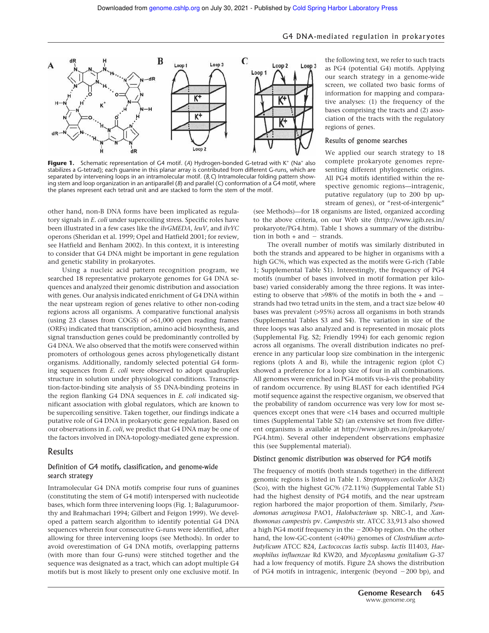

Figure 1. Schematic representation of G4 motif. (A) Hydrogen-bonded G-tetrad with K<sup>+</sup> (Na<sup>+</sup> also stabilizes a G-tetrad); each guanine in this planar array is contributed from different G-runs, which are separated by intervening loops in an intramolecular motif. (*B,C*) Intramolecular folding pattern showing stem and loop organization in an antiparallel (*B*) and parallel (*C*) conformation of a G4 motif, where the planes represent each tetrad unit and are stacked to form the stem of the motif.

other hand, non-B DNA forms have been implicated as regulatory signals in *E. coli* under supercoiling stress. Specific roles have been illustrated in a few cases like the *ilvGMEDA*, *leuV*, and *ilvYC* operons (Sheridan et al. 1999; Opel and Hatfield 2001; for review, see Hatfield and Benham 2002). In this context, it is interesting to consider that G4 DNA might be important in gene regulation and genetic stability in prokaryotes.

Using a nucleic acid pattern recognition program, we searched 18 representative prokaryote genomes for G4 DNA sequences and analyzed their genomic distribution and association with genes. Our analysis indicated enrichment of G4 DNA within the near upstream region of genes relative to other non-coding regions across all organisms. A comparative functional analysis (using 23 classes from COGS) of >61,000 open reading frames (ORFs) indicated that transcription, amino acid biosynthesis, and signal transduction genes could be predominantly controlled by G4 DNA. We also observed that the motifs were conserved within promoters of orthologous genes across phylogenetically distant organisms. Additionally, randomly selected potential G4 forming sequences from *E. coli* were observed to adopt quadruplex structure in solution under physiological conditions. Transcription-factor-binding site analysis of 55 DNA-binding proteins in the region flanking G4 DNA sequences in *E. coli* indicated significant association with global regulators, which are known to be supercoiling sensitive. Taken together, our findings indicate a putative role of G4 DNA in prokaryotic gene regulation. Based on our observations in *E. coli*, we predict that G4 DNA may be one of the factors involved in DNA-topology-mediated gene expression.

# Results

#### Definition of G4 motifs, classification, and genome-wide search strategy

Intramolecular G4 DNA motifs comprise four runs of guanines (constituting the stem of G4 motif) interspersed with nucleotide bases, which form three intervening loops (Fig. 1; Balagurumoorthy and Brahmachari 1994; Gilbert and Feigon 1999). We developed a pattern search algorithm to identify potential G4 DNA sequences wherein four consecutive G-runs were identified, after allowing for three intervening loops (see Methods). In order to avoid overestimation of G4 DNA motifs, overlapping patterns (with more than four G-runs) were stitched together and the sequence was designated as a tract, which can adopt multiple G4 motifs but is most likely to present only one exclusive motif. In the following text, we refer to such tracts as PG4 (potential G4) motifs. Applying our search strategy in a genome-wide screen, we collated two basic forms of information for mapping and comparative analyses: (1) the frequency of the bases comprising the tracts and (2) association of the tracts with the regulatory regions of genes.

#### Results of genome searches

We applied our search strategy to 18 complete prokaryote genomes representing different phylogenetic origins. All PG4 motifs identified within the respective genomic regions—intragenic, putative regulatory (up to 200 bp upstream of genes), or "rest-of-intergenic"

(see Methods)—for 18 organisms are listed, organized according to the above criteria, on our Web site (http://www.igib.res.in/ prokaryote/PG4.htm). Table 1 shows a summary of the distribution in both  $+$  and  $-$  strands.

The overall number of motifs was similarly distributed in both the strands and appeared to be higher in organisms with a high GC%, which was expected as the motifs were G-rich (Table 1; Supplemental Table S1). Interestingly, the frequency of PG4 motifs (number of bases involved in motif formation per kilobase) varied considerably among the three regions. It was interesting to observe that >98% of the motifs in both the + and strands had two tetrad units in the stem, and a tract size below 40 bases was prevalent (>95%) across all organisms in both strands (Supplemental Tables S3 and S4). The variation in size of the three loops was also analyzed and is represented in mosaic plots (Supplemental Fig. S2; Friendly 1994) for each genomic region across all organisms. The overall distribution indicates no preference in any particular loop size combination in the intergenic regions (plots A and B), while the intragenic region (plot C) showed a preference for a loop size of four in all combinations. All genomes were enriched in PG4 motifs vis-à-vis the probability of random occurrence. By using BLAST for each identified PG4 motif sequence against the respective organism, we observed that the probability of random occurrence was very low for most sequences except ones that were <14 bases and occurred multiple times (Supplemental Table S2) (an extensive set from five different organisms is available at http://www.igib.res.in/prokaryote/ PG4.htm). Several other independent observations emphasize this (see Supplemental material).

#### Distinct genomic distribution was observed for PG4 motifs

The frequency of motifs (both strands together) in the different genomic regions is listed in Table 1. *Streptomyces coelicolor* A3(2) (Sco), with the highest GC% (72.11%) (Supplemental Table S1) had the highest density of PG4 motifs, and the near upstream region harbored the major proportion of them. Similarly, *Pseudomonas aeruginosa* PAO1, *Halobacterium* sp. NRC-1, and *Xanthomonas campestris* pv. *Campestris* str. ATCC 33,913 also showed a high PG4 motif frequency in the  $-200$ -bp region. On the other hand, the low-GC-content (<40%) genomes of *Clostridium acetobutylicum* ATCC 824, *Lactococcus lactis* subsp. *lactis* Il1403, *Haemophilus influenzae* Rd KW20, and *Mycoplasma genitalium* G-37 had a low frequency of motifs. Figure 2A shows the distribution of PG4 motifs in intragenic, intergenic (beyond 200 bp), and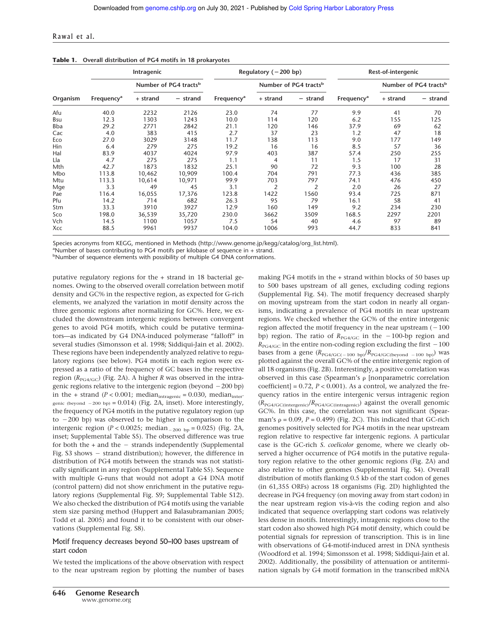#### Rawal et al.

|          | Intragenic             |          |                                   | Regulatory $(-200$ bp) |                |                                   | Rest-of-intergenic     |          |                                   |
|----------|------------------------|----------|-----------------------------------|------------------------|----------------|-----------------------------------|------------------------|----------|-----------------------------------|
|          |                        |          | Number of PG4 tracts <sup>b</sup> |                        |                | Number of PG4 tracts <sup>b</sup> |                        |          | Number of PG4 tracts <sup>b</sup> |
| Organism | Frequency <sup>a</sup> | + strand | - strand                          | Frequency <sup>a</sup> | + strand       | - strand                          | Frequency <sup>a</sup> | + strand | - strand                          |
| Afu      | 40.0                   | 2232     | 2126                              | 23.0                   | 74             | 77                                | 9.9                    | 41       | 70                                |
| Bsu      | 12.3                   | 1303     | 1243                              | 10.0                   | 114            | 120                               | 6.2                    | 155      | 125                               |
| Bba      | 29.2                   | 2771     | 2842                              | 21.1                   | 120            | 146                               | 37.9                   | 69       | 62                                |
| Cac      | 4.0                    | 383      | 415                               | 2.7                    | 37             | 23                                | 1.2                    | 47       | 18                                |
| Eco      | 27.0                   | 3029     | 3148                              | 11.7                   | 138            | 113                               | 9.0                    | 177      | 149                               |
| Hin      | 6.4                    | 279      | 275                               | 19.2                   | 16             | 16                                | 8.5                    | 57       | 36                                |
| Hal      | 83.9                   | 4037     | 4024                              | 97.9                   | 403            | 387                               | 57.4                   | 250      | 255                               |
| Lla      | 4.7                    | 275      | 275                               | 1.1                    | 4              | 11                                | 1.5                    | 17       | 31                                |
| Mth      | 42.7                   | 1873     | 1832                              | 25.1                   | 90             | 72                                | 9.3                    | 100      | 28                                |
| Mbo      | 113.8                  | 10,462   | 10,909                            | 100.4                  | 704            | 791                               | 77.3                   | 436      | 385                               |
| Mtu      | 113.3                  | 10,614   | 10,971                            | 99.9                   | 703            | 797                               | 74.1                   | 476      | 450                               |
| Mge      | 3.3                    | 49       | 45                                | 3.1                    | $\overline{2}$ | 2                                 | 2.0                    | 26       | 27                                |
| Pae      | 116.4                  | 16,055   | 17,376                            | 123.8                  | 1422           | 1560                              | 93.4                   | 725      | 871                               |
| Pfu      | 14.2                   | 714      | 682                               | 26.3                   | 95             | 79                                | 16.1                   | 58       | 41                                |
| Stm      | 33.3                   | 3910     | 3927                              | 12.9                   | 160            | 149                               | 9.2                    | 234      | 230                               |
| Sco      | 198.0                  | 36,539   | 35,720                            | 230.0                  | 3662           | 3509                              | 168.5                  | 2297     | 2201                              |
| Vch      | 14.5                   | 1100     | 1057                              | 7.5                    | 54             | 40                                | 4.6                    | 97       | 89                                |
| Xcc      | 88.5                   | 9961     | 9937                              | 104.0                  | 1006           | 993                               | 44.7                   | 833      | 841                               |

Species acronyms from KEGG, mentioned in Methods (http://www.genome.jp/kegg/catalog/org\_list.html).

<sup>a</sup>Number of bases contributing to PG4 motifs per kilobase of sequence in + strand.

bNumber of sequence elements with possibility of multiple G4 DNA conformations.

putative regulatory regions for the + strand in 18 bacterial genomes. Owing to the observed overall correlation between motif density and GC% in the respective region, as expected for G-rich elements, we analyzed the variation in motif density across the three genomic regions after normalizing for GC%. Here, we excluded the downstream intergenic regions between convergent genes to avoid PG4 motifs, which could be putative terminators—as indicated by G4 DNA-induced polymerase "falloff" in several studies (Simonsson et al. 1998; Siddiqui-Jain et al. 2002). These regions have been independently analyzed relative to regulatory regions (see below). PG4 motifs in each region were expressed as a ratio of the frequency of GC bases in the respective region  $(R_{PG4/GC})$  (Fig. 2A). A higher *R* was observed in the intragenic regions relative to the intergenic region (beyond  $-200$  bp) in the + strand ( $P < 0.001$ ; median<sub>intragenic</sub> = 0.030, median<sub>inter</sub>genic (beyond  $-200$  bp) = 0.014) (Fig. 2A, inset). More interestingly, the frequency of PG4 motifs in the putative regulatory region (up to  $-200$  bp) was observed to be higher in comparison to the intergenic region ( $P < 0.0025$ ; median<sub>-200 bp</sub> = 0.025) (Fig. 2A, inset; Supplemental Table S5). The observed difference was true for both the  $+$  and the  $-$  strands independently (Supplemental Fig. S3 shows - strand distribution); however, the difference in distribution of PG4 motifs between the strands was not statistically significant in any region (Supplemental Table S5). Sequence with multiple G-runs that would not adopt a G4 DNA motif (control pattern) did not show enrichment in the putative regulatory regions (Supplemental Fig. S9; Supplemental Table S12). We also checked the distribution of PG4 motifs using the variable stem size parsing method (Huppert and Balasubramanian 2005; Todd et al. 2005) and found it to be consistent with our observations (Supplemental Fig. S8).

#### Motif frequency decreases beyond 50–100 bases upstream of start codon

We tested the implications of the above observation with respect to the near upstream region by plotting the number of bases

**646 Genome Research** www.genome.org

making PG4 motifs in the + strand within blocks of 50 bases up to 500 bases upstream of all genes, excluding coding regions (Supplemental Fig. S4). The motif frequency decreased sharply on moving upstream from the start codon in nearly all organisms, indicating a prevalence of PG4 motifs in near upstream regions. We checked whether the GC% of the entire intergenic region affected the motif frequency in the near upstream  $(-100$ bp) region. The ratio of  $R_{PG4/GC}$  in the -100-bp region and  $R_{PG4/GC}$  in the entire non-coding region excluding the first  $-100$ bases from a gene  $(R_{PG4/GC(-100~bp)}/R_{PG4/GC(beyond ~-100~bp)})$  was plotted against the overall GC% of the entire intergenic region of all 18 organisms (Fig. 2B). Interestingly, a positive correlation was observed in this case (Spearman's  $\rho$  [nonparametric correlation coefficient] =  $0.72$ ,  $P < 0.001$ ). As a control, we analyzed the frequency ratios in the entire intergenic versus intragenic region (*R*PG4/GC(intergenic)/*R*PG4/GC(intragenic)) against the overall genomic GC%. In this case, the correlation was not significant (Spearman's  $\rho$  = 0.09,  $P$  = 0.499) (Fig. 2C). This indicated that GC-rich genomes positively selected for PG4 motifs in the near upstream region relative to respective far intergenic regions. A particular case is the GC-rich *S. coelicolor* genome, where we clearly observed a higher occurrence of PG4 motifs in the putative regulatory region relative to the other genomic regions (Fig. 2A) and also relative to other genomes (Supplemental Fig. S4). Overall distribution of motifs flanking 0.5 kb of the start codon of genes (in 61,355 ORFs) across 18 organisms (Fig. 2D) highlighted the decrease in PG4 frequency (on moving away from start codon) in the near upstream region vis-à-vis the coding region and also indicated that sequence overlapping start codons was relatively less dense in motifs. Interestingly, intragenic regions close to the start codon also showed high PG4 motif density, which could be potential signals for repression of transcription. This is in line with observations of G4-motif-induced arrest in DNA synthesis (Woodford et al. 1994; Simonsson et al. 1998; Siddiqui-Jain et al. 2002). Additionally, the possibility of attenuation or antitermination signals by G4 motif formation in the transcribed mRNA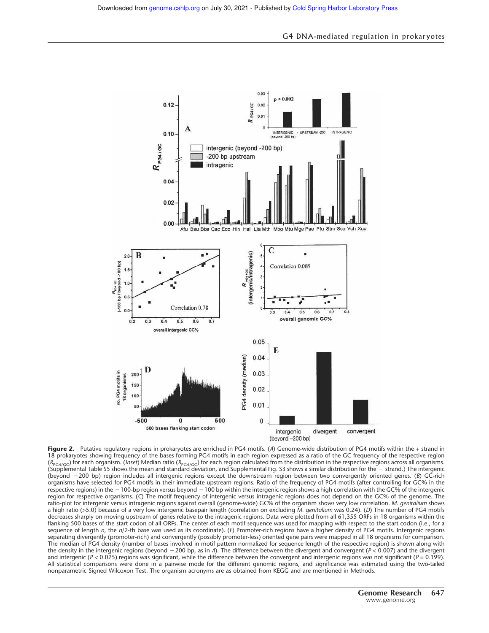

**Figure 2.** Putative regulatory regions in prokaryotes are enriched in PG4 motifs. (*A*) Genome-wide distribution of PG4 motifs within the + strand in 18 prokaryotes showing frequency of the bases forming PG4 motifs in each region expressed as a ratio of the GC frequency of the respective region (*R*<sub>PG4/GC</sub>) for each organism. (*Inset*) Median ratio (*R*<sub>PG4/GC</sub>) for each region calculated from the distribution in the respective regions across all organisms. (Supplemental Table S5 shows the mean and standard deviation, and Supplemental Fig. S3 shows a similar distribution for the - strand.) The intergenic (beyond 200 bp) region includes all intergenic regions except the downstream region between two convergently oriented genes. (*B*) GC-rich organisms have selected for PG4 motifs in their immediate upstream regions. Ratio of the frequency of PG4 motifs (after controlling for GC% in the respective regions) in the  $-100$ -bp region versus beyond  $-100$  bp within the intergenic region shows a high correlation with the GC% of the intergenic region for respective organisms. (*C*) The motif frequency of intergenic versus intragenic regions does not depend on the GC% of the genome. The ratio-plot for intergenic versus intragenic regions against overall (genome-wide) GC% of the organism shows very low correlation. *M. genitalium* shows a high ratio (>5.0) because of a very low intergenic basepair length (correlation on excluding *M. genitalium* was 0.24). (*D*) The number of PG4 motifs decreases sharply on moving upstream of genes relative to the intragenic regions. Data were plotted from all 61,355 ORFs in 18 organisms within the flanking 500 bases of the start codon of all ORFs. The center of each motif sequence was used for mapping with respect to the start codon (i.e., for a sequence of length *n*, the *n*/2-th base was used as its coordinate). (*E*) Promoter-rich regions have a higher density of PG4 motifs. Intergenic regions separating divergently (promoter-rich) and convergently (possibly promoter-less) oriented gene pairs were mapped in all 18 organisms for comparison. The median of PG4 density (number of bases involved in motif pattern normalized for sequence length of the respective region) is shown along with the density in the intergenic regions (beyond 200 bp, as in *A*). The difference between the divergent and convergent (*P* < 0.007) and the divergent and intergenic ( $P < 0.025$ ) regions was significant, while the difference between the convergent and intergenic regions was not significant ( $P = 0.199$ ). All statistical comparisons were done in a pairwise mode for the different genomic regions, and significance was estimated using the two-tailed nonparametric Signed Wilcoxon Test. The organism acronyms are as obtained from KEGG and are mentioned in Methods.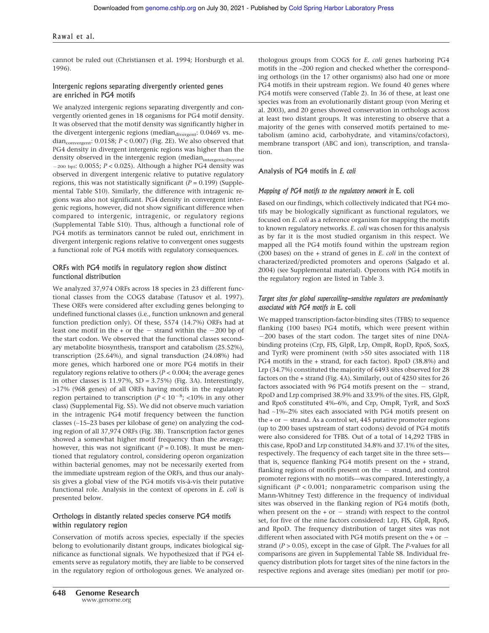#### Rawal et al.

cannot be ruled out (Christiansen et al. 1994; Horsburgh et al. 1996).

#### Intergenic regions separating divergently oriented genes are enriched in PG4 motifs

We analyzed intergenic regions separating divergently and convergently oriented genes in 18 organisms for PG4 motif density. It was observed that the motif density was significantly higher in the divergent intergenic regions (median<sub>divergent</sub>: 0.0469 vs. median<sub>convergent</sub>: 0.0158;  $P < 0.007$ ) (Fig. 2E). We also observed that PG4 density in divergent intergenic regions was higher than the density observed in the intergenic region (median<sub>intergenic(beyond</sub> 200 bp): 0.0055; *P* < 0.025). Although a higher PG4 density was observed in divergent intergenic relative to putative regulatory regions, this was not statistically significant (*P* = 0.199) (Supplemental Table S10). Similarly, the difference with intragenic regions was also not significant. PG4 density in convergent intergenic regions, however, did not show significant difference when compared to intergenic, intragenic, or regulatory regions (Supplemental Table S10). Thus, although a functional role of PG4 motifs as terminators cannot be ruled out, enrichment in divergent intergenic regions relative to convergent ones suggests a functional role of PG4 motifs with regulatory consequences.

#### ORFs with PG4 motifs in regulatory region show distinct functional distribution

We analyzed 37,974 ORFs across 18 species in 23 different functional classes from the COGS database (Tatusov et al. 1997). These ORFs were considered after excluding genes belonging to undefined functional classes (i.e., function unknown and general function prediction only). Of these, 5574 (14.7%) ORFs had at least one motif in the  $+$  or the  $-$  strand within the  $-200$  bp of the start codon. We observed that the functional classes secondary metabolite biosynthesis, transport and catabolism (25.52%), transcription (25.64%), and signal transduction (24.08%) had more genes, which harbored one or more PG4 motifs in their regulatory regions relative to others (*P* < 0.004; the average genes in other classes is 11.97%, SD = 3.75%) (Fig. 3A). Interestingly, >17% (968 genes) of all ORFs having motifs in the regulatory region pertained to transcription ( $P < 10^{-8}$ ; <10% in any other class) (Supplemental Fig. S5). We did not observe much variation in the intragenic PG4 motif frequency between the function classes (∼15–23 bases per kilobase of gene) on analyzing the coding region of all 37,974 ORFs (Fig. 3B). Transcription factor genes showed a somewhat higher motif frequency than the average; however, this was not significant ( $P = 0.108$ ). It must be mentioned that regulatory control, considering operon organization within bacterial genomes, may not be necessarily exerted from the immediate upstream region of the ORFs, and thus our analysis gives a global view of the PG4 motifs vis-à-vis their putative functional role. Analysis in the context of operons in *E. coli* is presented below.

#### Orthologs in distantly related species conserve PG4 motifs within regulatory region

Conservation of motifs across species, especially if the species belong to evolutionarily distant groups, indicates biological significance as functional signals. We hypothesized that if PG4 elements serve as regulatory motifs, they are liable to be conserved in the regulatory region of orthologous genes. We analyzed orthologous groups from COGS for *E. coli* genes harboring PG4 motifs in the –200 region and checked whether the corresponding orthologs (in the 17 other organisms) also had one or more PG4 motifs in their upstream region. We found 40 genes where PG4 motifs were conserved (Table 2). In 36 of these, at least one species was from an evolutionarily distant group (von Mering et al. 2003), and 20 genes showed conservation in orthologs across at least two distant groups. It was interesting to observe that a majority of the genes with conserved motifs pertained to metabolism (amino acid, carbohydrate, and vitamins/cofactors), membrane transport (ABC and ion), transcription, and translation.

# Analysis of PG4 motifs in *E. coli*

#### *Mapping of PG4 motifs to the regulatory network in* E. coli

Based on our findings, which collectively indicated that PG4 motifs may be biologically significant as functional regulators, we focused on *E. coli* as a reference organism for mapping the motifs to known regulatory networks. *E. coli* was chosen for this analysis as by far it is the most studied organism in this respect. We mapped all the PG4 motifs found within the upstream region (200 bases) on the + strand of genes in *E. coli* in the context of characterized/predicted promoters and operons (Salgado et al. 2004) (see Supplemental material). Operons with PG4 motifs in the regulatory region are listed in Table 3.

#### *Target sites for global supercoiling-sensitive regulators are predominantly associated with PG4 motifs in* E. coli

We mapped transcription-factor-binding sites (TFBS) to sequence flanking (100 bases) PG4 motifs, which were present within 200 bases of the start codon. The target sites of nine DNAbinding proteins (Crp, FIS, GlpR, Lrp, OmpR, RopD, RpoS, SoxS, and TyrR) were prominent (with >50 sites associated with 118 PG4 motifs in the + strand, for each factor). RpoD (38.8%) and Lrp (34.7%) constituted the majority of 6493 sites observed for 28 factors on the + strand (Fig. 4A). Similarly, out of 4250 sites for 26 factors associated with 96 PG4 motifs present on the  $-$  strand, RpoD and Lrp comprised 38.9% and 33.9% of the sites. FIS, GlpR, and RpoS constituted 4%–6%, and Crp, OmpR, TyrR, and SoxS had ∼1%–2% sites each associated with PG4 motifs present on the  $+$  or  $-$  strand. As a control set, 445 putative promoter regions (up to 200 bases upstream of start codons) devoid of PG4 motifs were also considered for TFBS. Out of a total of 14,292 TFBS in this case, RpoD and Lrp constituted 34.8% and 37.1% of the sites, respectively. The frequency of each target site in the three sets that is, sequence flanking PG4 motifs present on the + strand, flanking regions of motifs present on the  $-$  strand, and control promoter regions with no motifs—was compared. Interestingly, a significant (*P* < 0.001; nonparametric comparison using the Mann-Whitney Test) difference in the frequency of individual sites was observed in the flanking region of PG4 motifs (both, when present on the  $+$  or  $-$  strand) with respect to the control set, for five of the nine factors considered: Lrp, FIS, GlpR, RpoS, and RpoD. The frequency distribution of target sites was not different when associated with PG4 motifs present on the + or strand (*P* > 0.05), except in the case of GlpR. The *P*-values for all comparisons are given in Supplemental Table S8. Individual frequency distribution plots for target sites of the nine factors in the respective regions and average sites (median) per motif (or pro-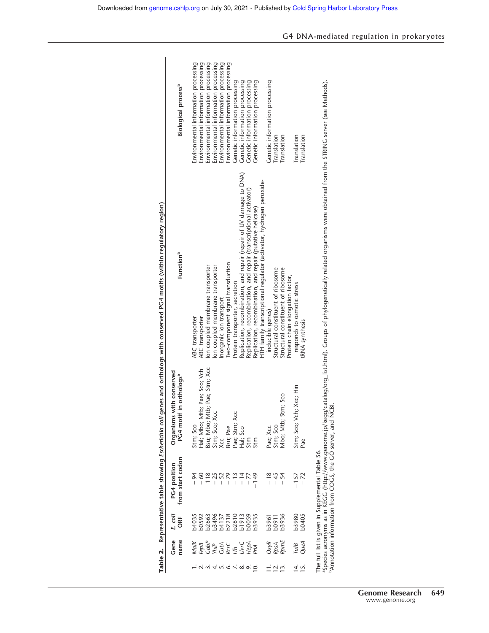|                                           | Gene<br>name                            | E. coli<br>ORF                                               | from start codon<br>PG4 position                                                                                | Organisms with conserved<br>if in orthologs <sup>a</sup><br>PG4 moti | Function <sup>b</sup>                                                                                                                                                            | <b>Biological process<sup>b</sup></b> |
|-------------------------------------------|-----------------------------------------|--------------------------------------------------------------|-----------------------------------------------------------------------------------------------------------------|----------------------------------------------------------------------|----------------------------------------------------------------------------------------------------------------------------------------------------------------------------------|---------------------------------------|
|                                           | Malk                                    |                                                              |                                                                                                                 |                                                                      | ABC transporter                                                                                                                                                                  | Environmental information processing  |
|                                           |                                         | 0035<br>005063<br>000349572005<br>0003720050<br>000500050050 | $-60$                                                                                                           | Stm; Sco<br>Hal; Mbo; Mtb; Pae; Sco; Vch                             | ABC transporter                                                                                                                                                                  | Environmental information processing  |
|                                           |                                         |                                                              | $-118$<br>$-25$                                                                                                 | Bsu; Mbo; Mtb; Pae; Stm; Xcc<br>Stm; Sco; Xcc<br>Xcc                 | Ion coupled membrane transporter                                                                                                                                                 | Environmental information processing  |
|                                           |                                         |                                                              |                                                                                                                 |                                                                      | on coupled membrane transporter                                                                                                                                                  | Environmental information processing  |
|                                           |                                         |                                                              |                                                                                                                 |                                                                      | Inorganic ion transport                                                                                                                                                          | Environmental information processing  |
|                                           |                                         |                                                              |                                                                                                                 |                                                                      | Iwo-component signal transduction                                                                                                                                                | Environmental information processing  |
|                                           |                                         |                                                              | $70001$<br>$-70001$                                                                                             |                                                                      | Protein transporter, secretion                                                                                                                                                   | Genetic information processing        |
|                                           |                                         |                                                              |                                                                                                                 |                                                                      | Replication, recombination, and repair (repair of UV damage to DNA)                                                                                                              | Genetic information processing        |
| $\circ$                                   | Fepa<br>Cabie<br>Cuta<br>Eccles<br>PriA |                                                              | $-77$                                                                                                           | Bsu; Pae<br>Pae; Stm; Xcc<br>Hal; Sco<br>Stm                         | Replication, recombination, and repair (transcriptional activator)                                                                                                               | Genetic information processing        |
|                                           |                                         | <sub>0</sub> 3935                                            | $-149$                                                                                                          |                                                                      | Replication, recombination, and repair (putative helicase)                                                                                                                       | Genetic information processing        |
|                                           |                                         |                                                              |                                                                                                                 |                                                                      | HTH family transcriptional regulator (activator, hydrogen peroxide-                                                                                                              |                                       |
|                                           |                                         | 53961<br>50911<br>53936                                      | $-18$<br>$-45$                                                                                                  |                                                                      | inducible genes)                                                                                                                                                                 | Genetic information processing        |
| $\frac{1}{1}$ $\frac{1}{2}$ $\frac{1}{2}$ |                                         |                                                              |                                                                                                                 |                                                                      | Structural constituent of ribosome                                                                                                                                               | Translation                           |
|                                           | OxyR<br>RpsA<br>RpmE                    |                                                              |                                                                                                                 | Stm; Sco<br>Pae; Xcc<br>Stm; Sco<br>Mbo; Mtb; S                      | Structural constituent of ribosome                                                                                                                                               | Translation                           |
|                                           |                                         |                                                              |                                                                                                                 |                                                                      | Protein chain elongation factor,                                                                                                                                                 |                                       |
| 14.7                                      |                                         | b3980<br>b0405                                               | $-157$                                                                                                          |                                                                      | responds to osmotic stress                                                                                                                                                       | Translation                           |
|                                           | TufB<br>QueA                            |                                                              | $-72$                                                                                                           | Stm; Sco; Vch; Xcc; Hin<br>Pae                                       | tRNA synthesis                                                                                                                                                                   | Translation                           |
|                                           |                                         |                                                              | "Annotation information from COGS, the GO server, and NCBI.<br>The full list is given in Supplemental Table S6. |                                                                      | aspecies acronyms as in KEGG (http://www.genome.jp/kegg/catalog/org_list.html). Groups of phylogenetically related organisms were obtained from the STRING server (see Methods). |                                       |

| ļ<br>ł<br>$\overline{a}$            |  |
|-------------------------------------|--|
|                                     |  |
| ١                                   |  |
| ļ                                   |  |
|                                     |  |
|                                     |  |
|                                     |  |
| l                                   |  |
| ٦<br>j                              |  |
| ١                                   |  |
| ï                                   |  |
| l<br>i<br>I                         |  |
|                                     |  |
|                                     |  |
| ׇ֚֘<br>i<br>Ś<br>Í<br>Ý             |  |
| ١<br>ï<br>i<br>China<br>j<br>₹<br>I |  |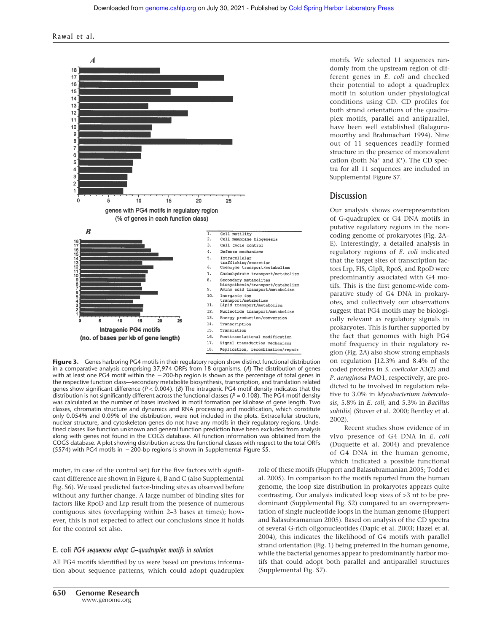

**Figure 3.** Genes harboring PG4 motifs in their regulatory region show distinct functional distribution in a comparative analysis comprising 37,974 ORFs from 18 organisms. (*A*) The distribution of genes with at least one PG4 motif within the  $-200$ -bp region is shown as the percentage of total genes in the respective function class—secondary metabolite biosynthesis, transcription, and translation related genes show significant difference (*P* < 0.004). (*B*) The intragenic PG4 motif density indicates that the distribution is not significantly different across the functional classes ( $P = 0.108$ ). The PG4 motif density was calculated as the number of bases involved in motif formation per kilobase of gene length. Two classes, chromatin structure and dynamics and RNA processing and modification, which constitute only 0.054% and 0.09% of the distribution, were not included in the plots. Extracellular structure, nuclear structure, and cytoskeleton genes do not have any motifs in their regulatory regions. Undefined classes like function unknown and general function prediction have been excluded from analysis along with genes not found in the COGS database. All function information was obtained from the COGS database. A plot showing distribution across the functional classes with respect to the total ORFs  $(5574)$  with PG4 motifs in  $-200$ -bp regions is shown in Supplemental Figure S5.

moter, in case of the control set) for the five factors with significant difference are shown in Figure 4, B and C (also Supplemental Fig. S6). We used predicted factor-binding sites as observed before without any further change. A large number of binding sites for factors like RpoD and Lrp result from the presence of numerous contiguous sites (overlapping within 2–3 bases at times); however, this is not expected to affect our conclusions since it holds for the control set also.

#### E. coli *PG4 sequences adopt G-quadruplex motifs in solution*

All PG4 motifs identified by us were based on previous information about sequence patterns, which could adopt quadruplex

motifs. We selected 11 sequences randomly from the upstream region of different genes in *E. coli* and checked their potential to adopt a quadruplex motif in solution under physiological conditions using CD. CD profiles for both strand orientations of the quadruplex motifs, parallel and antiparallel, have been well established (Balagurumoorthy and Brahmachari 1994). Nine out of 11 sequences readily formed structure in the presence of monovalent cation (both  $Na<sup>+</sup>$  and  $K<sup>+</sup>$ ). The CD spectra for all 11 sequences are included in Supplemental Figure S7.

# **Discussion**

Our analysis shows overrepresentation of G-quadruplex or G4 DNA motifs in putative regulatory regions in the noncoding genome of prokaryotes (Fig. 2A– E). Interestingly, a detailed analysis in regulatory regions of *E. coli* indicated that the target sites of transcription factors Lrp, FIS, GlpR, RpoS, and RpoD were predominantly associated with G4 motifs. This is the first genome-wide comparative study of G4 DNA in prokaryotes, and collectively our observations suggest that PG4 motifs may be biologically relevant as regulatory signals in prokaryotes. This is further supported by the fact that genomes with high PG4 motif frequency in their regulatory region (Fig. 2A) also show strong emphasis on regulation [12.3% and 8.4% of the coded proteins in *S. coelicolor* A3(2) and *P. aeruginosa* PAO1, respectively, are predicted to be involved in regulation relative to 3.0% in *Mycobacterium tuberculosis*, 5.8% in *E. coli*, and 5.3% in *Bacillus subtilis*] (Stover et al. 2000; Bentley et al. 2002).

Recent studies show evidence of in vivo presence of G4 DNA in *E. coli* (Duquette et al. 2004) and prevalence of G4 DNA in the human genome, which indicated a possible functional

role of these motifs (Huppert and Balasubramanian 2005; Todd et al. 2005). In comparison to the motifs reported from the human genome, the loop size distribution in prokaryotes appears quite contrasting. Our analysis indicated loop sizes of >3 nt to be predominant (Supplemental Fig. S2) compared to an overrepresentation of single nucleotide loops in the human genome (Huppert and Balasubramanian 2005). Based on analysis of the CD spectra of several G-rich oligonucleotides (Dapic et al. 2003; Hazel et al. 2004), this indicates the likelihood of G4 motifs with parallel strand orientation (Fig. 1) being preferred in the human genome, while the bacterial genomes appear to predominantly harbor motifs that could adopt both parallel and antiparallel structures (Supplemental Fig. S7).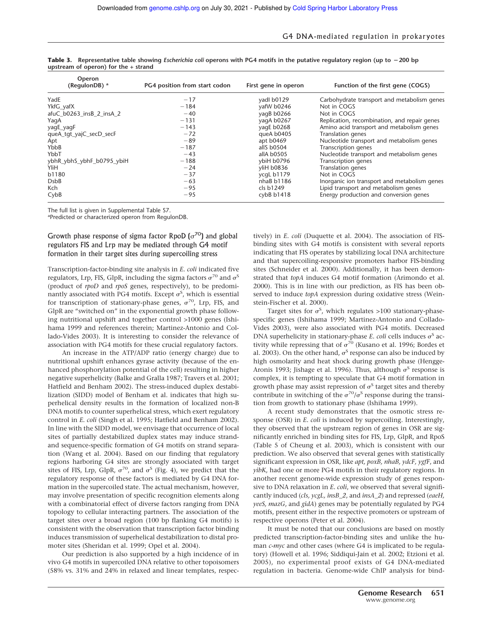| Operon<br>(RegulonDB) $^a$ | PG4 position from start codon | First gene in operon | Function of the first gene (COGS)            |
|----------------------------|-------------------------------|----------------------|----------------------------------------------|
| YadE                       | $-17$                         | yadl b0129           | Carbohydrate transport and metabolism genes  |
| YkfG yafX                  | $-184$                        | yafW b0246           | Not in COGS                                  |
| afuC b0263 insB 2 insA 2   | $-40$                         | yagB b0266           | Not in COGS                                  |
| YaqA                       | $-131$                        | yaqA b0267           | Replication, recombination, and repair genes |
| yagE_yagF                  | $-143$                        | yagE b0268           | Amino acid transport and metabolism genes    |
| queA tgt yajC secD secF    | $-72$                         | queA b0405           | Translation genes                            |
| Apt                        | $-89$                         | apt b0469            | Nucleotide transport and metabolism genes    |
| YbbB                       | $-187$                        | allS b0504           | <b>Transcription genes</b>                   |
| YbbT                       | $-43$                         | allA b0505           | Nucleotide transport and metabolism genes    |
| ybhR ybhS ybhF b0795 ybiH  | $-188$                        | ybiH b0796           | <b>Transcription genes</b>                   |
| YliH                       | $-24$                         | yliH b0836           | <b>Translation genes</b>                     |
| b1180                      | $-37$                         | ycgL b1179           | Not in COGS                                  |
| <b>D</b> sb <sub>B</sub>   | $-63$                         | nhaB b1186           | Inorganic ion transport and metabolism genes |
| Kch                        | $-95$                         | cls b1249            | Lipid transport and metabolism genes         |
| CybB                       | $-95$                         | cybB $b1418$         | Energy production and conversion genes       |

**Table 3. Representative table showing** *Escherichia coli* **operons with PG4 motifs in the putative regulatory region (up to** -**200 bp upstream of operon) for the + strand**

The full list is given in Supplemental Table S7.

a Predicted or characterized operon from RegulonDB.

# Growth phase response of sigma factor RpoD  $(\sigma^{70})$  and global regulators FIS and Lrp may be mediated through G4 motif formation in their target sites during supercoiling stress

Transcription-factor-binding site analysis in *E. coli* indicated five regulators, Lrp, FIS, GlpR, including the sigma factors  $\sigma^{70}$  and  $\sigma^{\text{S}}$ (product of *rpoD* and *rpoS* genes, respectively), to be predominantly associated with PG4 motifs. Except  $\sigma^S$ , which is essential for transcription of stationary-phase genes,  $\sigma^{70}$ , Lrp, FIS, and GlpR are "switched on" in the exponential growth phase following nutritional upshift and together control >1000 genes (Ishihama 1999 and references therein; Martinez-Antonio and Collado-Vides 2003). It is interesting to consider the relevance of association with PG4 motifs for these crucial regulatory factors.

An increase in the ATP/ADP ratio (energy charge) due to nutritional upshift enhances gyrase activity (because of the enhanced phosphorylation potential of the cell) resulting in higher negative superhelicity (Balke and Gralla 1987; Travers et al. 2001; Hatfield and Benham 2002). The stress-induced duplex destabilization (SIDD) model of Benham et al. indicates that high superhelical density results in the formation of localized non-B DNA motifs to counter superhelical stress, which exert regulatory control in *E. coli* (Singh et al. 1995; Hatfield and Benham 2002). In line with the SIDD model, we envisage that occurrence of local sites of partially destabilized duplex states may induce strandand sequence-specific formation of G4 motifs on strand separation (Wang et al. 2004). Based on our finding that regulatory regions harboring G4 sites are strongly associated with target sites of FIS, Lrp, GlpR,  $\sigma^{70}$ , and  $\sigma^{5}$  (Fig. 4), we predict that the regulatory response of these factors is mediated by G4 DNA formation in the supercoiled state. The actual mechanism, however, may involve presentation of specific recognition elements along with a combinatorial effect of diverse factors ranging from DNA topology to cellular interacting partners. The association of the target sites over a broad region (100 bp flanking G4 motifs) is consistent with the observation that transcription factor binding induces transmission of superhelical destabilization to distal promoter sites (Sheridan et al. 1999; Opel et al. 2004).

Our prediction is also supported by a high incidence of in vivo G4 motifs in supercoiled DNA relative to other topoisomers (58% vs. 31% and 24% in relaxed and linear templates, respec-

tively) in *E. coli* (Duquette et al. 2004). The association of FISbinding sites with G4 motifs is consistent with several reports indicating that FIS operates by stabilizing local DNA architecture and that supercoiling-responsive promoters harbor FIS-binding sites (Schneider et al. 2000). Additionally, it has been demonstrated that *topA* induces G4 motif formation (Arimondo et al. 2000). This is in line with our prediction, as FIS has been observed to induce *topA* expression during oxidative stress (Weinstein-Fischer et al. 2000).

Target sites for  $\sigma^S$ , which regulates >100 stationary-phasespecific genes (Ishihama 1999; Martinez-Antonio and Collado-Vides 2003), were also associated with PG4 motifs. Decreased DNA superhelicity in stationary-phase  $E$ . *coli* cells induces  $\sigma$ <sup>S</sup> activity while repressing that of  $\sigma^{70}$  (Kusano et al. 1996; Bordes et al. 2003). On the other hand,  $\sigma$ <sup>s</sup> response can also be induced by high osmolarity and heat shock during growth phase (Hengge-Aronis 1993; Jishage et al. 1996). Thus, although  $\sigma$ <sup>S</sup> response is complex, it is tempting to speculate that G4 motif formation in growth phase may assist repression of  $\sigma^S$  target sites and thereby contribute in switching of the  $\sigma^{70}/\sigma^5$  response during the transition from growth to stationary phase (Ishihama 1999).

A recent study demonstrates that the osmotic stress response (OSR) in *E. coli* is induced by supercoiling. Interestingly, they observed that the upstream region of genes in OSR are significantly enriched in binding sites for FIS, Lrp, GlpR, and RpoS (Table 5 of Cheung et al. 2003), which is consistent with our prediction. We also observed that several genes with statistically significant expression in OSR, like *apt, poxB, nhaB, ydcF, ygfF*, and *yibK*, had one or more PG4 motifs in their regulatory regions. In another recent genome-wide expression study of genes responsive to DNA relaxation in *E. coli*, we observed that several significantly induced (*cls, ycgL, insB\_2*, and *insA\_2*) and repressed (*eaeH, yeeS, mazG*, and *gidA*) genes may be potentially regulated by PG4 motifs, present either in the respective promoters or upstream of respective operons (Peter et al. 2004).

It must be noted that our conclusions are based on mostly predicted transcription-factor-binding sites and unlike the human *c-myc* and other cases (where G4 is implicated to be regulatory) (Howell et al. 1996; Siddiqui-Jain et al. 2002; Etzioni et al. 2005), no experimental proof exists of G4 DNA-mediated regulation in bacteria. Genome-wide ChIP analysis for bind-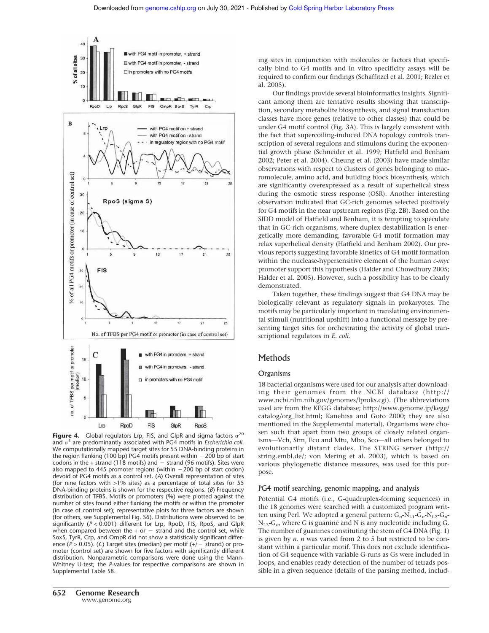

**Figure 4.** Global regulators Lrp, FIS, and GlpR and sigma factors  $\sigma^{70}$ and S are predominantly associated with PG4 motifs in *Escherichia coli*. We computationally mapped target sites for 55 DNA-binding proteins in the region flanking (100 bp) PG4 motifs present within  $-200$  bp of start codons in the  $+$  strand (118 motifs) and  $-$  strand (96 motifs). Sites were also mapped to 445 promoter regions (within  $-200$  bp of start codon) devoid of PG4 motifs as a control set. (*A*) Overall representation of sites (for nine factors with >1% sites) as a percentage of total sites for 55 DNA-binding proteins is shown for the respective regions. (*B*) Frequency distribution of TFBS. Motifs or promoters (%) were plotted against the number of sites found either flanking the motifs or within the promoter (in case of control set); representative plots for three factors are shown (for others, see Supplemental Fig. S6). Distributions were observed to be significantly (*P* < 0.001) different for Lrp, RpoD, FIS, RpoS, and GlpR when compared between the  $+$  or  $-$  strand and the control set, while SoxS, TyrR, Crp, and OmpR did not show a statistically significant difference ( $P > 0.05$ ). (C) Target sites (median) per motif ( $+/-$  strand) or promoter (control set) are shown for five factors with significantly different distribution. Nonparametric comparisons were done using the Mann-Whitney U-test; the *P*-values for respective comparisons are shown in Supplemental Table S8.

Our findings provide several bioinformatics insights. Significant among them are tentative results showing that transcription, secondary metabolite biosynthesis, and signal transduction classes have more genes (relative to other classes) that could be under G4 motif control (Fig. 3A). This is largely consistent with the fact that supercoiling-induced DNA topology controls transcription of several regulons and stimulons during the exponential growth phase (Schneider et al. 1999; Hatfield and Benham 2002; Peter et al. 2004). Cheung et al. (2003) have made similar observations with respect to clusters of genes belonging to macromolecule, amino acid, and building block biosynthesis, which are significantly overexpressed as a result of superhelical stress during the osmotic stress response (OSR). Another interesting observation indicated that GC-rich genomes selected positively for G4 motifs in the near upstream regions (Fig. 2B). Based on the SIDD model of Hatfield and Benham, it is tempting to speculate that in GC-rich organisms, where duplex destabilization is energetically more demanding, favorable G4 motif formation may relax superhelical density (Hatfield and Benham 2002). Our previous reports suggesting favorable kinetics of G4 motif formation within the nuclease-hypersensitive element of the human *c-myc* promoter support this hypothesis (Halder and Chowdhury 2005; Halder et al. 2005). However, such a possibility has to be clearly demonstrated.

Taken together, these findings suggest that G4 DNA may be biologically relevant as regulatory signals in prokaryotes. The motifs may be particularly important in translating environmental stimuli (nutritional upshift) into a functional message by presenting target sites for orchestrating the activity of global transcriptional regulators in *E. coli*.

# Methods

## **Organisms**

18 bacterial organisms were used for our analysis after downloading their genomes from the NCBI database (http:// www.ncbi.nlm.nih.gov/genomes/lproks.cgi). (The abbreviations used are from the KEGG database; http://www.genome.jp/kegg/ catalog/org\_list.html; Kanehisa and Goto 2000; they are also mentioned in the Supplemental material). Organisms were chosen such that apart from two groups of closely related organisms—Vch, Stm, Eco and Mtu, Mbo, Sco—all others belonged to evolutionarily distant clades. The STRING server (http:// string.embl.de/; von Mering et al. 2003), which is based on various phylogenetic distance measures, was used for this purpose.

#### PG4 motif searching, genomic mapping, and analysis

Potential G4 motifs (i.e., G-quadruplex-forming sequences) in the 18 genomes were searched with a customized program written using Perl. We adopted a general pattern:  $G_n$ -N<sub>L1</sub>- $G_n$ -N<sub>L2</sub>- $G_n$ -NL3-G*<sup>n</sup>* , where G is guanine and N is any nucleotide including G. The number of guanines constituting the stem of G4 DNA (Fig. 1) is given by *n*. *n* was varied from 2 to 5 but restricted to be constant within a particular motif. This does not exclude identification of G4 sequence with variable G-runs as Gs were included in loops, and enables ready detection of the number of tetrads possible in a given sequence (details of the parsing method, includ-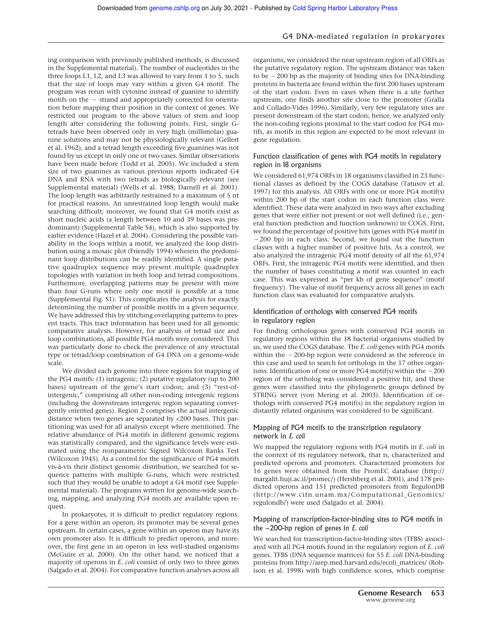ing comparison with previously published methods, is discussed in the Supplemental material). The number of nucleotides in the three loops L1, L2, and L3 was allowed to vary from 1 to 5, such that the size of loops may vary within a given G4 motif. The program was rerun with cytosine instead of guanine to identify motifs on the  $-$  strand and appropriately corrected for orientation before mapping their position in the context of genes. We restricted our program to the above values of stem and loop length after considering the following points. First, single Gtetrads have been observed only in very high (millimolar) guanine solutions and may not be physiologically relevant (Gellert et al. 1962), and a tetrad length exceeding five guanines was not found by us except in only one or two cases. Similar observations have been made before (Todd et al. 2005). We included a stem size of two guanines as various previous reports indicated G4 DNA and RNA with two tetrads as biologically relevant (see Supplemental material) (Wells et al. 1988; Darnell et al. 2001). The loop length was arbitrarily restrained to a maximum of 5 nt for practical reasons. An unrestrained loop length would make searching difficult; moreover, we found that G4 motifs exist as short nucleic acids (a length between 10 and 39 bases was predominant) (Supplemental Table S4), which is also supported by earlier evidence (Hazel et al. 2004). Considering the possible variability in the loops within a motif, we analyzed the loop distribution using a mosaic plot (Friendly 1994) wherein the predominant loop distributions can be readily identified. A single putative quadruplex sequence may present multiple quadruplex topologies with variation in both loop and tetrad compositions. Furthermore, overlapping patterns may be present with more than four G-runs where only one motif is possible at a time (Supplemental Fig. S1). This complicates the analysis for exactly determining the number of possible motifs in a given sequence. We have addressed this by stitching overlapping patterns to present tracts. This tract information has been used for all genomic comparative analysis. However, for analysis of tetrad size and loop combinations, all possible PG4 motifs were considered. This was particularly done to check the prevalence of any structural type or tetrad/loop combination of G4 DNA on a genome-wide scale.

We divided each genome into three regions for mapping of the PG4 motifs: (1) intragenic; (2) putative regulatory (up to 200 bases) upstream of the gene's start codon; and (3) "rest-ofintergenic," comprising all other non-coding intergenic regions (including the downstream intergenic region separating convergently oriented genes). Region 2 comprises the actual intergenic distance when two genes are separated by <200 bases. This partitioning was used for all analysis except where mentioned. The relative abundance of PG4 motifs in different genomic regions was statistically compared, and the significance levels were estimated using the nonparametric Signed Wilcoxon Ranks Test (Wilcoxon 1945). As a control for the significance of PG4 motifs vis-à-vis their distinct genomic distribution, we searched for sequence patterns with multiple G-runs, which were restricted such that they would be unable to adopt a G4 motif (see Supplemental material). The programs written for genome-wide searching, mapping, and analyzing PG4 motifs are available upon request.

In prokaryotes, it is difficult to predict regulatory regions. For a gene within an operon, its promoter may be several genes upstream. In certain cases, a gene within an operon may have its own promoter also. It is difficult to predict operons, and moreover, the first gene in an operon in less well-studied organisms (McGuire et al. 2000). On the other hand, we noticed that a majority of operons in *E. coli* consist of only two to three genes (Salgado et al. 2004). For comparative function analyses across all

organisms, we considered the near upstream region of all ORFs as the putative regulatory region. The upstream distance was taken to be  $-200$  bp as the majority of binding sites for DNA-binding proteins in bacteria are found within the first 200 bases upstream of the start codon. Even in cases when there is a site further upstream, one finds another site close to the promoter (Gralla and Collado-Vides 1996). Similarly, very few regulatory sites are present downstream of the start codon; hence, we analyzed only the non-coding regions proximal to the start codon for PG4 motifs, as motifs in this region are expected to be most relevant in gene regulation.

### Function classification of genes with PG4 motifs in regulatory region in 18 organisms

We considered 61,974 ORFs in 18 organisms classified in 23 functional classes as defined by the COGS database (Tatusov et al. 1997) for this analysis. All ORFs with one or more PG4 motif(s) within 200 bp of the start codon in each function class were identified. These data were analyzed in two ways after excluding genes that were either not present or not well defined (i.e., general function prediction and function unknown) in COGS. First, we found the percentage of positive hits (genes with PG4 motif in  $-200$  bp) in each class. Second, we found out the function classes with a higher number of positive hits. As a control, we also analyzed the intragenic PG4 motif density of all the 61,974 ORFs. First, the intragenic PG4 motifs were identified, and then the number of bases constituting a motif was counted in each case. This was expressed as "per kb of gene sequence" (motif frequency). The value of motif frequency across all genes in each function class was evaluated for comparative analysis.

# Identification of orthologs with conserved PG4 motifs in regulatory region

For finding orthologous genes with conserved PG4 motifs in regulatory regions within the 18 bacterial organisms studied by us, we used the COGS database. The *E. coli* genes with PG4 motifs within the  $-200$ -bp region were considered as the reference in this case and used to search for orthologs in the 17 other organisms. Identification of one or more PG4 motif(s) within the  $-200$ region of the ortholog was considered a positive hit, and these genes were classified into the phylogenetic groups defined by STRING server (von Mering et al. 2003). Identification of orthologs with conserved PG4 motif(s) in the regulatory region in distantly related organisms was considered to be significant.

# Mapping of PG4 motifs to the transcription regulatory network in *E. coli*

We mapped the regulatory regions with PG4 motifs in *E. coli* in the context of its regulatory network, that is, characterized and predicted operons and promoters. Characterized promoters for 16 genes were obtained from the PromEC database (http:// margalit.huji.ac.il/promec/) (Hershberg et al. 2001), and 178 predicted operons and 151 predicted promoters from RegulonDB (http://www.cifn.unam.mx/Computational\_Genomics/ regulondb/) were used (Salgado et al. 2004).

### Mapping of transcription-factor-binding sites to PG4 motifs in the −200-bp region of genes in *E. coli*

We searched for transcription-factor-binding sites (TFBS) associated with all PG4 motifs found in the regulatory region of *E. coli* genes. TFBS (DNA sequence matrices) for 55 *E. coli* DNA-binding proteins from http://arep.med.harvard.edu/ecoli\_matrices/ (Robison et al. 1998) with high confidence scores, which comprise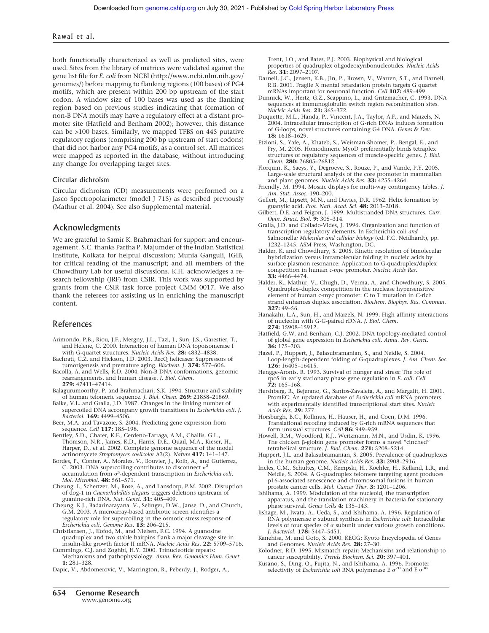#### Rawal et al.

both functionally characterized as well as predicted sites, were used. Sites from the library of matrices were validated against the gene list file for *E. coli* from NCBI (http://www.ncbi.nlm.nih.gov/ genomes/) before mapping to flanking regions (100 bases) of PG4 motifs, which are present within 200 bp upstream of the start codon. A window size of 100 bases was used as the flanking region based on previous studies indicating that formation of non-B DNA motifs may have a regulatory effect at a distant promoter site (Hatfield and Benham 2002); however, this distance can be >100 bases. Similarly, we mapped TFBS on 445 putative regulatory regions (comprising 200 bp upstream of start codons) that did not harbor any PG4 motifs, as a control set. All matrices were mapped as reported in the database, without introducing any change for overlapping target sites.

#### Circular dichroism

Circular dichroism (CD) measurements were performed on a Jasco Spectropolarimeter (model J 715) as described previously (Mathur et al. 2004). See also Supplemental material.

# Acknowledgments

We are grateful to Samir K. Brahmachari for support and encouragement. S.C. thanks Partha P. Majumder of the Indian Statistical Institute, Kolkata for helpful discussion; Munia Ganguli, IGIB, for critical reading of the manuscript; and all members of the Chowdhury Lab for useful discussions. K.H. acknowledges a research fellowship (JRF) from CSIR. This work was supported by grants from the CSIR task force project CMM 0017. We also thank the referees for assisting us in enriching the manuscript content.

#### References

- Arimondo, P.B., Riou, J.F., Mergny, J.L., Tazi, J., Sun, J.S., Garestier, T., and Helene, C. 2000. Interaction of human DNA topoisomerase I with G-quartet structures. *Nucleic Acids Res.* **28:** 4832–4838.
- Bachrati, C.Z. and Hickson, I.D. 2003. RecQ helicases: Suppressors of tumorigenesis and premature aging. *Biochem. J.* **374:** 577–606.
- Bacolla, A. and Wells, R.D. 2004. Non-B DNA conformations, genomic rearrangements, and human disease. *J. Biol. Chem.* **279:** 47411–47414.
- Balagurumoorthy, P. and Brahmachari, S.K. 1994. Structure and stability of human telomeric sequence. *J. Biol. Chem.* **269:** 21858–21869.
- Balke, V.L. and Gralla, J.D. 1987. Changes in the linking number of supercoiled DNA accompany growth transitions in *Escherichia coli. J. Bacteriol.* **169:** 4499–4506.
- Beer, M.A. and Tavazoie, S. 2004. Predicting gene expression from sequence. *Cell* **117:** 185–198.
- Bentley, S.D., Chater, K.F., Cerdeno-Tarraga, A.M., Challis, G.L., Thomson, N.R., James, K.D., Harris, D.E., Quail, M.A., Kieser, H., Harper, D., et al. 2002. Complete genome sequence of the model actinomycete *Streptomyces coelicolor* A3(2). *Nature* **417:** 141–147.
- Bordes, P., Conter, A., Morales, V., Bouvier, J., Kolb, A., and Gutierrez, C. 2003. DNA supercoiling contributes to disconnect  $\sigma^S$ accumulation from S -dependent transcription in *Escherichia coli. Mol. Microbiol.* **48:** 561–571.
- Cheung, I., Schertzer, M., Rose, A., and Lansdorp, P.M. 2002. Disruption of dog-1 in *Caenorhabditis elegans* triggers deletions upstream of guanine-rich DNA. *Nat. Genet.* **31:** 405–409.
- Cheung, K.J., Badarinarayana, V., Selinger, D.W., Janse, D., and Church, G.M. 2003. A microarray-based antibiotic screen identifies a regulatory role for supercoiling in the osmotic stress response of *Escherichia coli. Genome Res.* **13:** 206–215.
- Christiansen, J., Kofod, M., and Nielsen, F.C. 1994. A guanosine quadruplex and two stable hairpins flank a major cleavage site in insulin-like growth factor II mRNA. *Nucleic Acids Res.* **22:** 5709–5716.
- Cummings, C.J. and Zoghbi, H.Y. 2000. Trinucleotide repeats: Mechanisms and pathophysiology. *Annu. Rev. Genomics Hum. Genet.*
- **1:** 281–328. Dapic, V., Abdomerovic, V., Marrington, R., Peberdy, J., Rodger, A.,

Trent, J.O., and Bates, P.J. 2003. Biophysical and biological properties of quadruplex oligodeoxyribonucleotides. *Nucleic Acids Res.* **31:** 2097–2107.

- Darnell, J.C., Jensen, K.B., Jin, P., Brown, V., Warren, S.T., and Darnell, R.B. 2001. Fragile X mental retardation protein targets G quartet mRNAs important for neuronal function. *Cell* **107:** 489–499.
- Dunnick, W., Hertz, G.Z., Scappino, L., and Gritzmacher, C. 1993. DNA sequences at immunoglobulin switch region recombination sites. *Nucleic Acids Res.* **21:** 365–372.
- Duquette, M.L., Handa, P., Vincent, J.A., Taylor, A.F., and Maizels, N. 2004. Intracellular transcription of G-rich DNAs induces formation of G-loops, novel structures containing G4 DNA. *Genes & Dev.* **18:** 1618–1629.
- Etzioni, S., Yafe, A., Khateb, S., Weisman-Shomer, P., Bengal, E., and Fry, M. 2005. Homodimeric MyoD preferentially binds tetraplex structures of regulatory sequences of muscle-specific genes. *J. Biol. Chem.* **280:** 26805–26812.
- Florquin, K., Saeys, Y., Degroeve, S., Rouze, P., and Vande, P.Y. 2005. Large-scale structural analysis of the core promoter in mammalian and plant genomes. *Nucleic Acids Res.* **33:** 4255–4264.
- Friendly, M. 1994. Mosaic displays for multi-way contingency tables. *J. Am. Stat. Assoc.* 190–200.
- Gellert, M., Lipsett, M.N., and Davies, D.R. 1962. Helix formation by guanylic acid. *Proc. Natl. Acad. Sci.* **48:** 2013–2018.
- Gilbert, D.E. and Feigon, J. 1999. Multistranded DNA structures. *Curr. Opin. Struct. Biol.* **9:** 305–314.
- Gralla, J.D. and Collado-Vides, J. 1996. Organization and function of transcription regulatory elements. In Escherichia coli *and* Salmonella*: Molecular and cellular biology* (ed. F.C. Neidhardt), pp. 1232–1245. ASM Press, Washington, DC.
- Halder, K. and Chowdhury, S. 2005. Kinetic resolution of bimolecular hybridization versus intramolecular folding in nucleic acids by surface plasmon resonance: Application to G-quadruplex/duplex competition in human *c-myc* promoter. *Nucleic Acids Res.* **33:** 4466–4474.
- Halder, K., Mathur, V., Chugh, D., Verma, A., and Chowdhury, S. 2005. Quadruplex–duplex competition in the nuclease hypersensitive element of human c-myc promoter: C to T mutation in C-rich strand enhances duplex association. *Biochem. Biophys. Res. Commun.* **327:** 49–56.
- Hanakahi, L.A., Sun, H., and Maizels, N. 1999. High affinity interactions of nucleolin with G-G-paired rDNA. *J. Biol. Chem.* **274:** 15908–15912.
- Hatfield, G.W. and Benham, C.J. 2002. DNA topology-mediated control of global gene expression in *Escherichia coli. Annu. Rev. Genet.* **36:** 175–203.
- Hazel, P., Huppert, J., Balasubramanian, S., and Neidle, S. 2004. Loop-length-dependent folding of G-quadruplexes. *J. Am. Chem. Soc.* **126:** 16405–16415.
- Hengge-Aronis, R. 1993. Survival of hunger and stress: The role of rpoS in early stationary phase gene regulation in *E. coli. Cell* **72:** 165–168.
- Hershberg, R., Bejerano, G., Santos-Zavaleta, A., and Margalit, H. 2001. PromEC: An updated database of *Escherichia coli* mRNA promoters with experimentally identified transcriptional start sites. *Nucleic Acids Res.* **29:** 277.
- Horsburgh, B.C., Kollmus, H., Hauser, H., and Coen, D.M. 1996. Translational recoding induced by G-rich mRNA sequences that form unusual structures. *Cell* **86:** 949–959.
- Howell, R.M., Woodford, K.J., Weitzmann, M.N., and Usdin, K. 1996. The chicken  $\beta$ -globin gene promoter forms a novel "cinched" tetrahelical structure. *J. Biol. Chem.* **271:** 5208–5214.
- Huppert, J.L. and Balasubramanian, S. 2005. Prevalence of quadruplexes in the human genome. *Nucleic Acids Res.* **33:** 2908–2916.
- Incles, C.M., Schultes, C.M., Kempski, H., Koehler, H., Kelland, L.R., and Neidle, S. 2004. A G-quadruplex telomere targeting agent produces p16-associated senescence and chromosomal fusions in human prostate cancer cells. *Mol. Cancer Ther.* **3:** 1201–1206.
- Ishihama, A. 1999. Modulation of the nucleoid, the transcription apparatus, and the translation machinery in bacteria for stationary phase survival. *Genes Cells* **4:** 135–143.
- Jishage, M., Iwata, A., Ueda, S., and Ishihama, A. 1996. Regulation of RNA polymerase  $\sigma$  subunit synthesis in *Escherichia coli*: Intracellular levels of four species of  $\sigma$  subunit under various growth conditions. *J. Bacteriol.* **178:** 5447–5451.
- Kanehisa, M. and Goto, S. 2000. KEGG: Kyoto Encyclopedia of Genes and Genomes. *Nucleic Acids Res.* **28:** 27–30.
- Kolodner, R.D. 1995. Mismatch repair: Mechanisms and relationship to cancer susceptibility. *Trends Biochem. Sci.* **20:** 397–401.
- Kusano, S., Ding, Q., Fujita, N., and Ishihama, A. 1996. Promoter selectivity of *Escherichia coli* RNA polymerase E  $\sigma^{70}$  and E  $\sigma^{38}$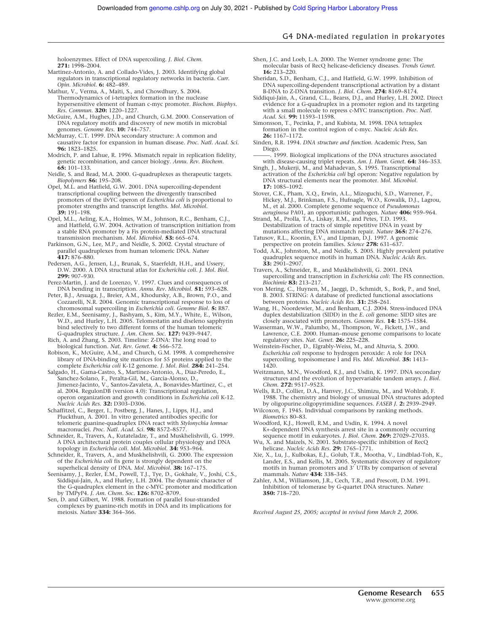holoenzymes. Effect of DNA supercoiling. *J. Biol. Chem.* **271:** 1998–2004.

- Martinez-Antonio, A. and Collado-Vides, J. 2003. Identifying global regulators in transcriptional regulatory networks in bacteria. *Curr. Opin. Microbiol.* **6:** 482–489.
- Mathur, V., Verma, A., Maiti, S., and Chowdhury, S. 2004. Thermodynamics of i-tetraplex formation in the nuclease hypersensitive element of human c-myc promoter. *Biochem. Biophys. Res. Commun.* **320:** 1220–1227.
- McGuire, A.M., Hughes, J.D., and Church, G.M. 2000. Conservation of DNA regulatory motifs and discovery of new motifs in microbial
- genomes. *Genome Res.* **10:** 744–757. McMurray, C.T. 1999. DNA secondary structure: A common and causative factor for expansion in human disease. *Proc. Natl. Acad. Sci.* **96:** 1823–1825.
- Modrich, P. and Lahue, R. 1996. Mismatch repair in replication fidelity, genetic recombination, and cancer biology. *Annu. Rev. Biochem.* **65:** 101–133.
- Neidle, S. and Read, M.A. 2000. G-quadruplexes as therapeutic targets. *Biopolymers* **56:** 195–208.

Opel, M.L. and Hatfield, G.W. 2001. DNA supercoiling-dependent transcriptional coupling between the divergently transcribed promoters of the ilvYC operon of *Escherichia coli* is proportional to promoter strengths and transcript lengths. *Mol. Microbiol.* **39:** 191–198.

- Opel, M.L., Aeling, K.A., Holmes, W.M., Johnson, R.C., Benham, C.J., and Hatfield, G.W. 2004. Activation of transcription initiation from a stable RNA promoter by a Fis protein-mediated DNA structural transmission mechanism. *Mol. Microbiol.* **53:** 665–674.
- Parkinson, G.N., Lee, M.P., and Neidle, S. 2002. Crystal structure of parallel quadruplexes from human telomeric DNA. *Nature* **417:** 876–880.
- Pedersen, A.G., Jensen, L.J., Brunak, S., Staerfeldt, H.H., and Ussery, D.W. 2000. A DNA structural atlas for *Escherichia coli*. *J. Mol. Biol.* **299:** 907–930.

Perez-Martin, J. and de Lorenzo, V. 1997. Clues and consequences of DNA bending in transcription. *Annu. Rev. Microbiol.* **51:** 593–628.

Peter, B.J., Arsuaga, J., Breier, A.M., Khodursky, A.B., Brown, P.O., and Cozzarelli, N.R. 2004. Genomic transcriptional response to loss of chromosomal supercoiling in *Escherichia coli. Genome Biol.* **5:** R87.

Rezler, E.M., Seenisamy, J., Bashyam, S., Kim, M.Y., White, E., Wilson, W.D., and Hurley, L.H. 2005. Telomestatin and diseleno sapphyrin bind selectively to two different forms of the human telomeric G-quadruplex structure. *J. Am. Chem. Soc.* **127:** 9439–9447.

Rich, A. and Zhang, S. 2003. Timeline: Z-DNA: The long road to biological function. *Nat. Rev. Genet.* **4:** 566–572.

- Robison, K., McGuire, A.M., and Church, G.M. 1998. A comprehensive library of DNA-binding site matrices for 55 proteins applied to the complete *Escherichia coli* K-12 genome. *J. Mol. Biol.* **284:** 241–254.
- Salgado, H., Gama-Castro, S., Martinez-Antonio, A., Diaz-Peredo, E., Sanchez-Solano, F., Peralta-Gil, M., Garcia-Alonso, D., Jimenez-Jacinto, V., Santos-Zavaleta, A., Bonavides-Martinez, C., et al. 2004. RegulonDB (version 4.0): Transcriptional regulation, operon organization and growth conditions in *Escherichia coli* K-12. *Nucleic Acids Res.* **32:** D303–D306.
- Schaffitzel, C., Berger, I., Postberg, J., Hanes, J., Lipps, H.J., and Pluckthun, A. 2001. In vitro generated antibodies specific for telomeric guanine-quadruplex DNA react with *Stylonychia lemnae* macronuclei. *Proc. Natl. Acad. Sci.* **98:** 8572–8577.
- Schneider, R., Travers, A., Kutateladze, T., and Muskhelishvili, G. 1999. A DNA architectural protein couples cellular physiology and DNA topology in *Escherichia coli*. *Mol. Microbiol.* **34:** 953–964.
- Schneider, R., Travers, A., and Muskhelishvili, G. 2000. The expression of the *Escherichia coli* fis gene is strongly dependent on the superhelical density of DNA. *Mol. Microbiol.* **38:** 167–175.
- Seenisamy, J., Rezler, E.M., Powell, T.J., Tye, D., Gokhale, V., Joshi, C.S., Siddiqui-Jain, A., and Hurley, L.H. 2004. The dynamic character of the G-quadruplex element in the c-MYC promoter and modification by TMPyP4. *J. Am. Chem. Soc.* **126:** 8702–8709.
- Sen, D. and Gilbert, W. 1988. Formation of parallel four-stranded complexes by guanine-rich motifs in DNA and its implications for meiosis. *Nature* **334:** 364–366.
- Shen, J.C. and Loeb, L.A. 2000. The Werner syndrome gene: The molecular basis of RecQ helicase-deficiency diseases. *Trends Genet.* **16:** 213–220.
- Sheridan, S.D., Benham, C.J., and Hatfield, G.W. 1999. Inhibition of DNA supercoiling-dependent transcriptional activation by a distant B-DNA to Z-DNA transition. *J. Biol. Chem.* **274:** 8169–8174.
- Siddiqui-Jain, A., Grand, C.L., Bearss, D.J., and Hurley, L.H. 2002. Direct evidence for a G-quadruplex in a promoter region and its targeting with a small molecule to repress c-MYC transcription. *Proc. Natl. Acad. Sci.* **99:** 11593–11598.
- Simonsson, T., Pecinka, P., and Kubista, M. 1998. DNA tetraplex formation in the control region of c-myc. *Nucleic Acids Res.* **26:** 1167–1172.
- Sinden, R.R. 1994. *DNA structure and function.* Academic Press, San Diego.
- 1999. Biological implications of the DNA structures associated with disease-causing triplet repeats. *Am. J. Hum. Genet.* **64:** 346–353. Singh, J., Mukerji, M., and Mahadevan, S. 1995. Transcriptional
- activation of the *Escherichia coli* bgl operon: Negative regulation by DNA structural elements near the promoter. *Mol. Microbiol.* **17:** 1085–1092.
- Stover, C.K., Pham, X.Q., Erwin, A.L., Mizoguchi, S.D., Warrener, P., Hickey, M.J., Brinkman, F.S., Hufnagle, W.O., Kowalik, D.J., Lagrou, M., et al. 2000. Complete genome sequence of *Pseudomonas aeruginosa* PA01, an opportunistic pathogen. *Nature* **406:** 959–964.
- Strand, M., Prolla, T.A., Liskay, R.M., and Petes, T.D. 1993. Destabilization of tracts of simple repetitive DNA in yeast by
- mutations affecting DNA mismatch repair. *Nature* **365:** 274–276. Tatusov, R.L., Koonin, E.V., and Lipman, D.J. 1997. A genomic perspective on protein families. *Science* **278:** 631–637.
- Todd, A.K., Johnston, M., and Neidle, S. 2005. Highly prevalent putative quadruplex sequence motifs in human DNA. *Nucleic Acids Res.* **33:** 2901–2907.
- Travers, A., Schneider, R., and Muskhelishvili, G. 2001. DNA supercoiling and transcription in *Escherichia coli*: The FIS connection. *Biochimie* **83:** 213–217.
- von Mering, C., Huynen, M., Jaeggi, D., Schmidt, S., Bork, P., and Snel, B. 2003. STRING: A database of predicted functional associations between proteins. *Nucleic Acids Res.* **31:** 258–261.
- Wang, H., Noordewier, M., and Benham, C.J. 2004. Stress-induced DNA duplex destabilization (SIDD) in the *E. coli* genome: SIDD sites are closely associated with promoters. *Genome Res.* **14:** 1575–1584.
- Wasserman, W.W., Palumbo, M., Thompson, W., Fickett, J.W., and Lawrence, C.E. 2000. Human–mouse genome comparisons to locate regulatory sites. *Nat. Genet.* **26:** 225–228.
- Weinstein-Fischer, D., Elgrably-Weiss, M., and Altuvia, S. 2000. *Escherichia coli* response to hydrogen peroxide: A role for DNA supercoiling, topoisomerase I and Fis. *Mol. Microbiol.* **35:** 1413– 1420.
- Weitzmann, M.N., Woodford, K.J., and Usdin, K. 1997. DNA secondary structures and the evolution of hypervariable tandem arrays. *J. Biol. Chem.* **272:** 9517–9523.
- Wells, R.D., Collier, D.A., Hanvey, J.C., Shimizu, M., and Wohlrab, F. 1988. The chemistry and biology of unusual DNA structures adopted by oligopurine.oligopyrimidine sequences. *FASEB J.* **2:** 2939–2949.
- Wilcoxon, F. 1945. Individual comparisons by ranking methods. *Biometrics* 80–83.
- Woodford, K.J., Howell, R.M., and Usdin, K. 1994. A novel K+-dependent DNA synthesis arrest site in a commonly occurring sequence motif in eukaryotes. *J. Biol. Chem.* **269:** 27029–27035.
- Wu, X. and Maizels, N. 2001. Substrate-specific inhibition of RecQ helicase. *Nucleic Acids Res.* **29:** 1765–1771.
- Xie, X., Lu, J., Kulbokas, E.J., Golub, T.R., Mootha, V., Lindblad-Toh, K., Lander, E.S., and Kellis, M. 2005. Systematic discovery of regulatory motifs in human promoters and 3' UTRs by comparison of several mammals. *Nature* **434:** 338–345.
- Zahler, A.M., Williamson, J.R., Cech, T.R., and Prescott, D.M. 1991. Inhibition of telomerase by G-quartet DNA structures. *Nature* **350:** 718–720.

*Received August 25, 2005; accepted in revised form March 2, 2006.*